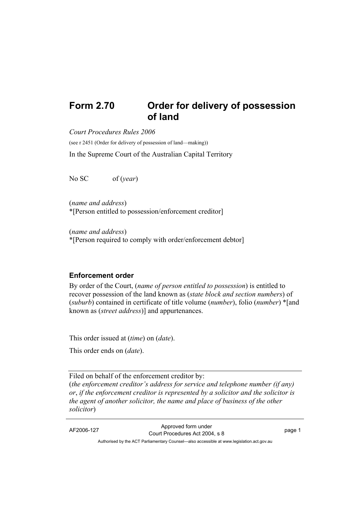## **Form 2.70 Order for delivery of possession of land**

*Court Procedures Rules 2006* 

(see r 2451 (Order for delivery of possession of land—making))

In the Supreme Court of the Australian Capital Territory

No SC of (*year*)

(*name and address*) \*[Person entitled to possession/enforcement creditor]

(*name and address*) \*[Person required to comply with order/enforcement debtor]

## **Enforcement order**

By order of the Court, (*name of person entitled to possession*) is entitled to recover possession of the land known as (*state block and section numbers*) of (*suburb*) contained in certificate of title volume (*number*), folio (*number*) \*[and known as (*street address*)] and appurtenances.

This order issued at (*time*) on (*date*).

This order ends on (*date*).

Filed on behalf of the enforcement creditor by: (*the enforcement creditor's address for service and telephone number (if any) or*, *if the enforcement creditor is represented by a solicitor and the solicitor is the agent of another solicitor, the name and place of business of the other solicitor*)

AF2006-127 Approved form under Court Procedures Act 2004, s 8 page 1

Authorised by the ACT Parliamentary Counsel—also accessible at www.legislation.act.gov.au